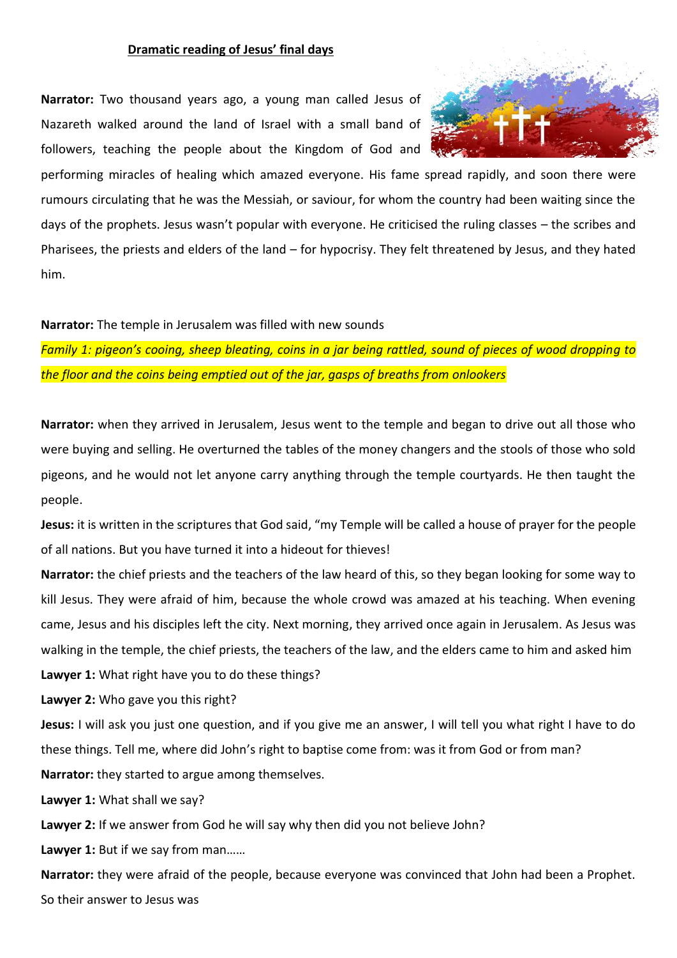## **Dramatic reading of Jesus' final days**

**Narrator:** Two thousand years ago, a young man called Jesus of Nazareth walked around the land of Israel with a small band of followers, teaching the people about the Kingdom of God and



performing miracles of healing which amazed everyone. His fame spread rapidly, and soon there were rumours circulating that he was the Messiah, or saviour, for whom the country had been waiting since the days of the prophets. Jesus wasn't popular with everyone. He criticised the ruling classes – the scribes and Pharisees, the priests and elders of the land – for hypocrisy. They felt threatened by Jesus, and they hated him.

## **Narrator:** The temple in Jerusalem was filled with new sounds

*Family 1: pigeon's cooing, sheep bleating, coins in a jar being rattled, sound of pieces of wood dropping to the floor and the coins being emptied out of the jar, gasps of breaths from onlookers*

**Narrator:** when they arrived in Jerusalem, Jesus went to the temple and began to drive out all those who were buying and selling. He overturned the tables of the money changers and the stools of those who sold pigeons, and he would not let anyone carry anything through the temple courtyards. He then taught the people.

**Jesus:** it is written in the scriptures that God said, "my Temple will be called a house of prayer for the people of all nations. But you have turned it into a hideout for thieves!

**Narrator:** the chief priests and the teachers of the law heard of this, so they began looking for some way to kill Jesus. They were afraid of him, because the whole crowd was amazed at his teaching. When evening came, Jesus and his disciples left the city. Next morning, they arrived once again in Jerusalem. As Jesus was walking in the temple, the chief priests, the teachers of the law, and the elders came to him and asked him **Lawyer 1:** What right have you to do these things?

**Lawyer 2:** Who gave you this right?

**Jesus:** I will ask you just one question, and if you give me an answer, I will tell you what right I have to do these things. Tell me, where did John's right to baptise come from: was it from God or from man? **Narrator:** they started to argue among themselves.

**Lawyer 1:** What shall we say?

**Lawyer 2:** If we answer from God he will say why then did you not believe John?

**Lawyer 1:** But if we say from man……

**Narrator:** they were afraid of the people, because everyone was convinced that John had been a Prophet. So their answer to Jesus was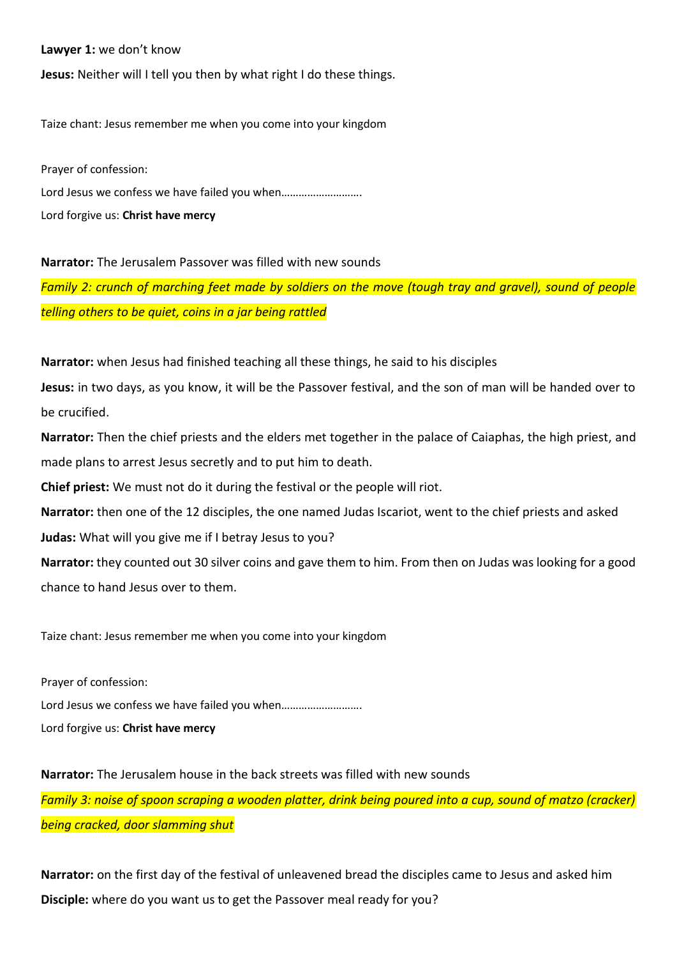## **Lawyer 1:** we don't know

**Jesus:** Neither will I tell you then by what right I do these things.

Taize chant: Jesus remember me when you come into your kingdom

Prayer of confession:

Lord Jesus we confess we have failed you when...................................

Lord forgive us: **Christ have mercy**

**Narrator:** The Jerusalem Passover was filled with new sounds

*Family 2: crunch of marching feet made by soldiers on the move (tough tray and gravel), sound of people telling others to be quiet, coins in a jar being rattled*

**Narrator:** when Jesus had finished teaching all these things, he said to his disciples

**Jesus:** in two days, as you know, it will be the Passover festival, and the son of man will be handed over to be crucified.

**Narrator:** Then the chief priests and the elders met together in the palace of Caiaphas, the high priest, and made plans to arrest Jesus secretly and to put him to death.

**Chief priest:** We must not do it during the festival or the people will riot.

**Narrator:** then one of the 12 disciples, the one named Judas Iscariot, went to the chief priests and asked

**Judas:** What will you give me if I betray Jesus to you?

**Narrator:** they counted out 30 silver coins and gave them to him. From then on Judas was looking for a good chance to hand Jesus over to them.

Taize chant: Jesus remember me when you come into your kingdom

Prayer of confession: Lord Jesus we confess we have failed you when................................... Lord forgive us: **Christ have mercy**

**Narrator:** The Jerusalem house in the back streets was filled with new sounds

*Family 3: noise of spoon scraping a wooden platter, drink being poured into a cup, sound of matzo (cracker) being cracked, door slamming shut*

**Narrator:** on the first day of the festival of unleavened bread the disciples came to Jesus and asked him **Disciple:** where do you want us to get the Passover meal ready for you?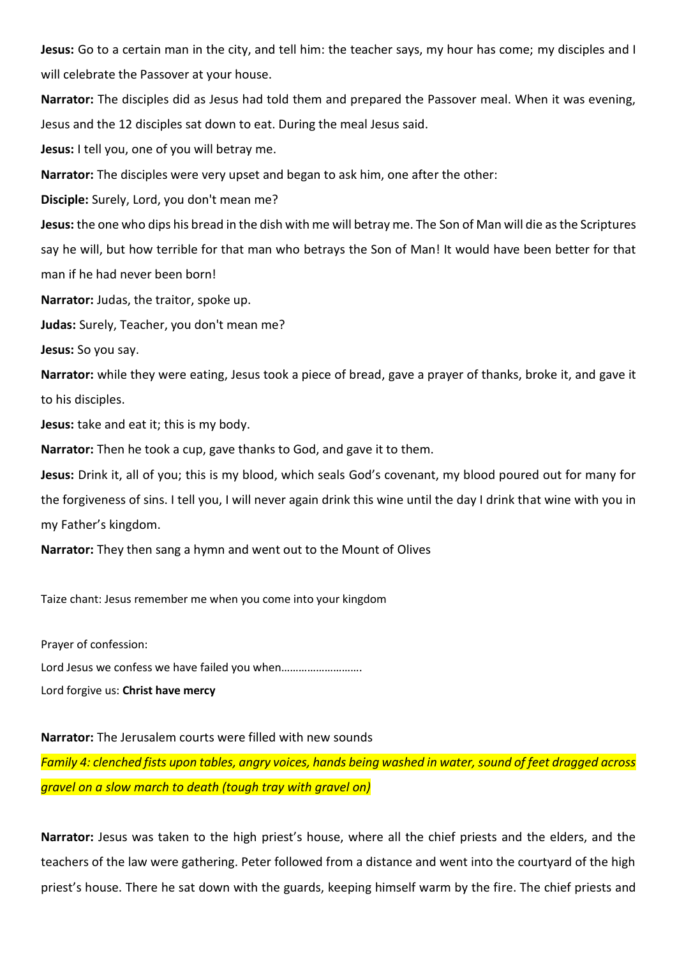**Jesus:** Go to a certain man in the city, and tell him: the teacher says, my hour has come; my disciples and I will celebrate the Passover at your house.

**Narrator:** The disciples did as Jesus had told them and prepared the Passover meal. When it was evening, Jesus and the 12 disciples sat down to eat. During the meal Jesus said.

**Jesus:** I tell you, one of you will betray me.

**Narrator:** The disciples were very upset and began to ask him, one after the other:

**Disciple:** Surely, Lord, you don't mean me?

**Jesus:** the one who dips his bread in the dish with me will betray me. The Son of Man will die as the Scriptures say he will, but how terrible for that man who betrays the Son of Man! It would have been better for that man if he had never been born!

**Narrator:** Judas, the traitor, spoke up.

**Judas:** Surely, Teacher, you don't mean me?

**Jesus:** So you say.

**Narrator:** while they were eating, Jesus took a piece of bread, gave a prayer of thanks, broke it, and gave it to his disciples.

**Jesus:** take and eat it; this is my body.

**Narrator:** Then he took a cup, gave thanks to God, and gave it to them.

**Jesus:** Drink it, all of you; this is my blood, which seals God's covenant, my blood poured out for many for the forgiveness of sins. I tell you, I will never again drink this wine until the day I drink that wine with you in my Father's kingdom.

**Narrator:** They then sang a hymn and went out to the Mount of Olives

Taize chant: Jesus remember me when you come into your kingdom

Prayer of confession:

Lord Jesus we confess we have failed you when...................................

Lord forgive us: **Christ have mercy**

**Narrator:** The Jerusalem courts were filled with new sounds

*Family 4: clenched fists upon tables, angry voices, hands being washed in water, sound of feet dragged across gravel on a slow march to death (tough tray with gravel on)*

**Narrator:** Jesus was taken to the high priest's house, where all the chief priests and the elders, and the teachers of the law were gathering. Peter followed from a distance and went into the courtyard of the high priest's house. There he sat down with the guards, keeping himself warm by the fire. The chief priests and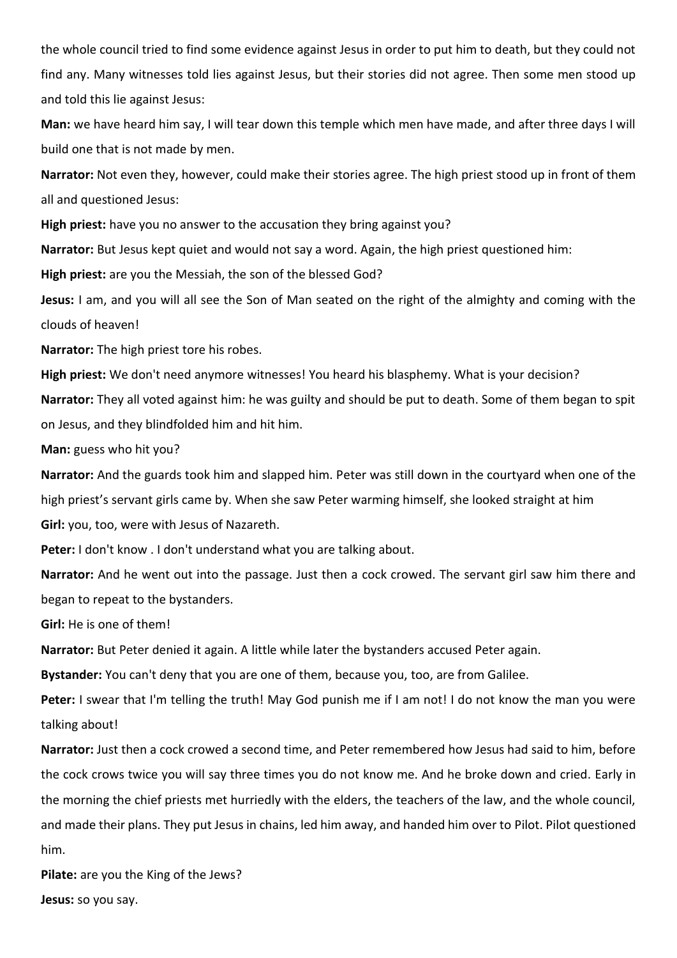the whole council tried to find some evidence against Jesus in order to put him to death, but they could not find any. Many witnesses told lies against Jesus, but their stories did not agree. Then some men stood up and told this lie against Jesus:

**Man:** we have heard him say, I will tear down this temple which men have made, and after three days I will build one that is not made by men.

**Narrator:** Not even they, however, could make their stories agree. The high priest stood up in front of them all and questioned Jesus:

**High priest:** have you no answer to the accusation they bring against you?

**Narrator:** But Jesus kept quiet and would not say a word. Again, the high priest questioned him:

**High priest:** are you the Messiah, the son of the blessed God?

**Jesus:** I am, and you will all see the Son of Man seated on the right of the almighty and coming with the clouds of heaven!

**Narrator:** The high priest tore his robes.

**High priest:** We don't need anymore witnesses! You heard his blasphemy. What is your decision?

**Narrator:** They all voted against him: he was guilty and should be put to death. Some of them began to spit on Jesus, and they blindfolded him and hit him.

**Man:** guess who hit you?

**Narrator:** And the guards took him and slapped him. Peter was still down in the courtyard when one of the high priest's servant girls came by. When she saw Peter warming himself, she looked straight at him **Girl:** you, too, were with Jesus of Nazareth.

**Peter:** I don't know . I don't understand what you are talking about.

**Narrator:** And he went out into the passage. Just then a cock crowed. The servant girl saw him there and began to repeat to the bystanders.

**Girl:** He is one of them!

**Narrator:** But Peter denied it again. A little while later the bystanders accused Peter again.

**Bystander:** You can't deny that you are one of them, because you, too, are from Galilee.

**Peter:** I swear that I'm telling the truth! May God punish me if I am not! I do not know the man you were talking about!

**Narrator:** Just then a cock crowed a second time, and Peter remembered how Jesus had said to him, before the cock crows twice you will say three times you do not know me. And he broke down and cried. Early in the morning the chief priests met hurriedly with the elders, the teachers of the law, and the whole council, and made their plans. They put Jesus in chains, led him away, and handed him over to Pilot. Pilot questioned him.

**Pilate:** are you the King of the Jews? **Jesus:** so you say.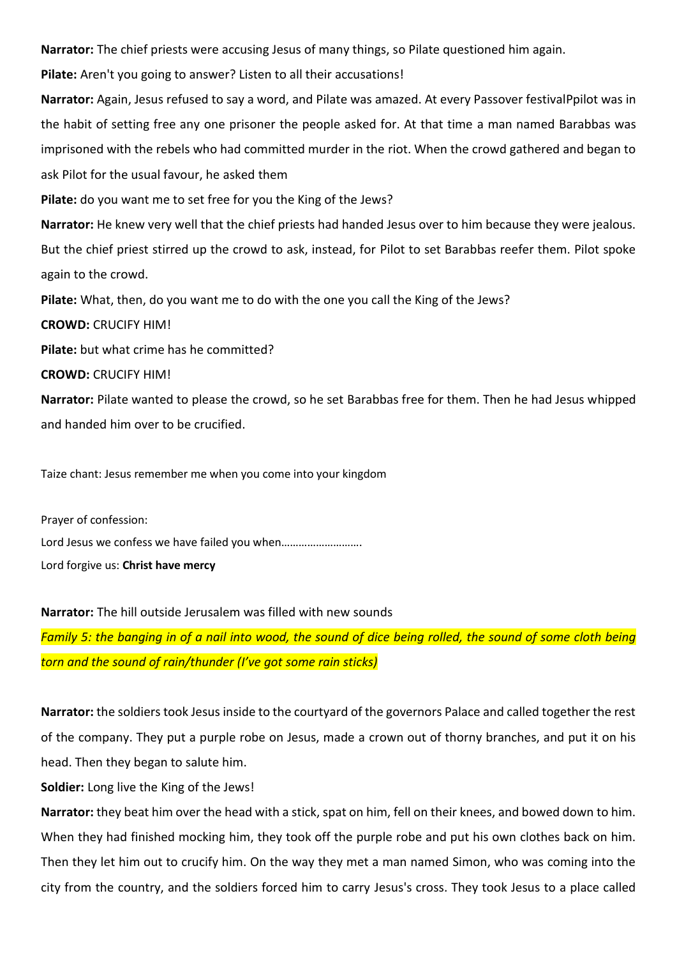**Narrator:** The chief priests were accusing Jesus of many things, so Pilate questioned him again.

**Pilate:** Aren't you going to answer? Listen to all their accusations!

**Narrator:** Again, Jesus refused to say a word, and Pilate was amazed. At every Passover festivalPpilot was in the habit of setting free any one prisoner the people asked for. At that time a man named Barabbas was imprisoned with the rebels who had committed murder in the riot. When the crowd gathered and began to ask Pilot for the usual favour, he asked them

**Pilate:** do you want me to set free for you the King of the Jews?

**Narrator:** He knew very well that the chief priests had handed Jesus over to him because they were jealous. But the chief priest stirred up the crowd to ask, instead, for Pilot to set Barabbas reefer them. Pilot spoke again to the crowd.

**Pilate:** What, then, do you want me to do with the one you call the King of the Jews?

**CROWD:** CRUCIFY HIM!

**Pilate:** but what crime has he committed?

**CROWD:** CRUCIFY HIM!

**Narrator:** Pilate wanted to please the crowd, so he set Barabbas free for them. Then he had Jesus whipped and handed him over to be crucified.

Taize chant: Jesus remember me when you come into your kingdom

Prayer of confession: Lord Jesus we confess we have failed you when................................... Lord forgive us: **Christ have mercy**

**Narrator:** The hill outside Jerusalem was filled with new sounds

Family 5: the banging in of a nail into wood, the sound of dice being rolled, the sound of some cloth being *torn and the sound of rain/thunder (I've got some rain sticks)*

**Narrator:** the soldiers took Jesus inside to the courtyard of the governors Palace and called together the rest of the company. They put a purple robe on Jesus, made a crown out of thorny branches, and put it on his head. Then they began to salute him.

**Soldier:** Long live the King of the Jews!

**Narrator:** they beat him over the head with a stick, spat on him, fell on their knees, and bowed down to him. When they had finished mocking him, they took off the purple robe and put his own clothes back on him. Then they let him out to crucify him. On the way they met a man named Simon, who was coming into the city from the country, and the soldiers forced him to carry Jesus's cross. They took Jesus to a place called